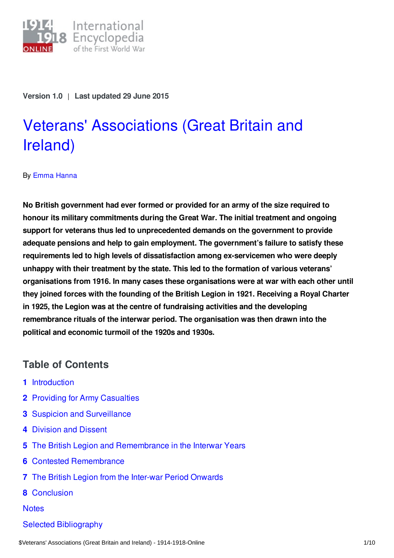

**Version 1.0** | **Last updated 29 June 2015**

# Veterans' [Associations](https://encyclopedia.1914-1918-online.net/article/veterans_associations_great_britain_and_ireland) (Great Britain and Ireland)

#### By Emma [Hanna](https://encyclopedia.1914-1918-online.net/contributors/Emma_Hanna)

**No British government had ever formed or provided for an army of the size required to honour its military commitments during the Great War. The initial treatment and ongoing support for veterans thus led to unprecedented demands on the government to provide adequate pensions and help to gain employment. The government's failure to satisfy these requirements led to high levels of dissatisfaction among ex-servicemen who were deeply unhappy with their treatment by the state. This led to the formation of various veterans' organisations from 1916. In many cases these organisations were at war with each other until they joined forces with the founding of the British Legion in 1921. Receiving a Royal Charter in 1925, the Legion was at the centre of fundraising activities and the developing remembrance rituals of the interwar period. The organisation was then drawn into the political and economic turmoil of the 1920s and 1930s.**

## **Table of Contents**

- **1** [Introduction](#page-1-0)
- **2** Providing for Army [Casualties](#page-1-1)
- **3** Suspicion and [Surveillance](#page-2-0)
- **4** [Division](#page-3-0) and Dissent
- **5** The British Legion and [Remembrance](#page-4-0) in the Interwar Years
- **6** Contested [Remembrance](#page-5-0)
- **7** The British Legion from the Inter-war Period [Onwards](#page-6-0)
- **8** [Conclusion](#page-7-0)

**[Notes](#page-8-0)** 

Selected [Bibliography](#page-8-1)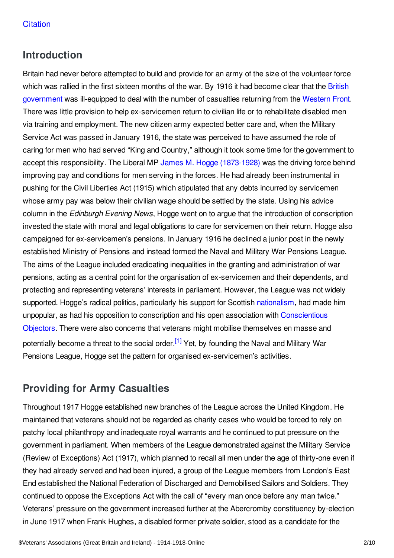# <span id="page-1-0"></span>**Introduction**

Britain had never before attempted to build and provide for an army of the size of the volunteer force which was rallied in the first sixteen months of the war. By 1916 it had become clear that the British [government](/article/governments_parliaments_and_parties_great_britain_and_ireland) was ill-equipped to deal with the number of casualties returning from the [Western](/article/western_front) Front. There was little provision to help ex-servicemen return to civilian life or to rehabilitate disabled men via training and employment. The new citizen army expected better care and, when the Military Service Act was passed in January 1916, the state was perceived to have assumed the role of caring for men who had served "King and Country," although it took some time for the government to accept this responsibility. The Liberal MP James M. Hogge [\(1873-1928\)](/index/names/1041362420) was the driving force behind improving pay and conditions for men serving in the forces. He had already been instrumental in pushing for the Civil Liberties Act (1915) which stipulated that any debts incurred by servicemen whose army pay was below their civilian wage should be settled by the state. Using his advice column in the *Edinburgh Evening News*, Hogge went on to argue that the introduction of conscription invested the state with moral and legal obligations to care for servicemen on their return. Hogge also campaigned for ex-servicemen's pensions. In January 1916 he declined a junior post in the newly established Ministry of Pensions and instead formed the Naval and Military War Pensions League. The aims of the League included eradicating inequalities in the granting and administration of war pensions, acting as a central point for the organisation of ex-servicemen and their dependents, and protecting and representing veterans' interests in parliament. However, the League was not widely supported. Hogge's radical politics, particularly his support for Scottish [nationalism](/article/nationalism), had made him unpopular, as had his opposition to conscription and his open association with [Conscientious](/article/conscientious_objectors) Objectors. There were also concerns that veterans might mobilise themselves en masse and potentially become a threat to the social order.<sup>[\[1\]](#page-8-2)</sup> Yet, by founding the Naval and Military War Pensions League, Hogge set the pattern for organised ex-servicemen's activities.

# <span id="page-1-2"></span><span id="page-1-1"></span>**Providing for Army Casualties**

Throughout 1917 Hogge established new branches of the League across the United Kingdom. He maintained that veterans should not be regarded as charity cases who would be forced to rely on patchy local philanthropy and inadequate royal warrants and he continued to put pressure on the government in parliament. When members of the League demonstrated against the Military Service (Review of Exceptions) Act (1917), which planned to recall all men under the age of thirty-one even if they had already served and had been injured, a group of the League members from London's East End established the National Federation of Discharged and Demobilised Sailors and Soldiers. They continued to oppose the Exceptions Act with the call of "every man once before any man twice." Veterans' pressure on the government increased further at the Abercromby constituency by-election in June 1917 when Frank Hughes, a disabled former private soldier, stood as a candidate for the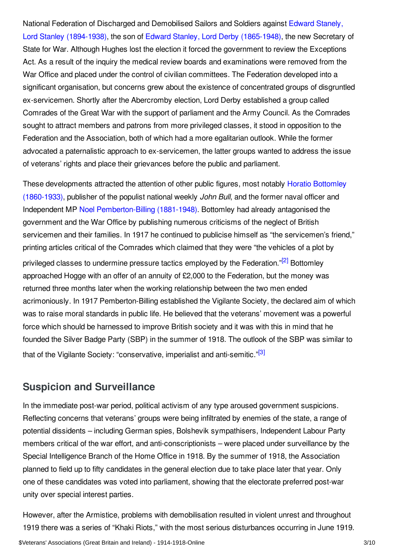National Federation of Discharged and Demobilised Sailors and Soldiers against Edward Stanely, Lord Stanley (1894-1938), the son of Edward Stanley, Lord Derby [\(1865-1948\),](/index/names/1072576163) the new Secretary of State for War. Although Hughes lost the election it forced the government to review the Exceptions Act. As a result of the inquiry the medical review boards and examinations were removed from the War Office and placed under the control of civilian committees. The Federation developed into a significant organisation, but concerns grew about the existence of concentrated groups of disgruntled ex-servicemen. Shortly after the Abercromby election, Lord Derby established a group called Comrades of the Great War with the support of parliament and the Army Council. As the Comrades sought to attract members and patrons from more privileged classes, it stood in opposition to the Federation and the Association, both of which had a more egalitarian outlook. While the former advocated a paternalistic approach to ex-servicemen, the latter groups wanted to address the issue of veterans' rights and place their grievances before the public and parliament.

<span id="page-2-1"></span>These [developments](/index/names/124395600) attracted the attention of other public figures, most notably Horatio Bottomley (1860-1933), publisher of the populist national weekly *John Bull*, and the former naval officer and Independent MP Noel [Pemberton-Billing](/index/names/121793133) (1881-1948). Bottomley had already antagonised the government and the War Office by publishing numerous criticisms of the neglect of British servicemen and their families. In 1917 he continued to publicise himself as "the servicemen's friend," printing articles critical of the Comrades which claimed that they were "the vehicles of a plot by privileged classes to undermine pressure tactics employed by the Federation."<sup>[\[2\]](#page-8-3)</sup> Bottomley approached Hogge with an offer of an annuity of £2,000 to the Federation, but the money was returned three months later when the working relationship between the two men ended acrimoniously. In 1917 Pemberton-Billing established the Vigilante Society, the declared aim of which was to raise moral standards in public life. He believed that the veterans' movement was a powerful force which should be harnessed to improve British society and it was with this in mind that he founded the Silver Badge Party (SBP) in the summer of 1918. The outlook of the SBP was similar to that of the Vigilante Society: "conservative, imperialist and anti-semitic."<sup>[\[3\]](#page-8-4)</sup>

## <span id="page-2-2"></span><span id="page-2-0"></span>**Suspicion and Surveillance**

In the immediate post-war period, political activism of any type aroused government suspicions. Reflecting concerns that veterans' groups were being infiltrated by enemies of the state, a range of potential dissidents – including German spies, Bolshevik sympathisers, Independent Labour Party members critical of the war effort, and anti-conscriptionists – were placed under surveillance by the Special Intelligence Branch of the Home Office in 1918. By the summer of 1918, the Association planned to field up to fifty candidates in the general election due to take place later that year. Only one of these candidates was voted into parliament, showing that the electorate preferred post-war unity over special interest parties.

However, after the Armistice, problems with demobilisation resulted in violent unrest and throughout 1919 there was a series of "Khaki Riots," with the most serious disturbances occurring in June 1919.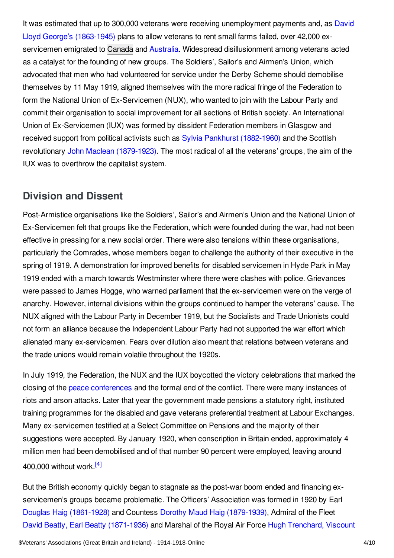It was estimated that up to 300,000 veterans were receiving [unemployment](/index/names/118573675) payments and, as David Lloyd George's (1863-1945) plans to allow veterans to rent small farms failed, over 42,000 ex-servicemen emigrated to [Canada](/article/canada) and [Australia](/article/australia). Widespread disillusionment among veterans acted as a catalyst for the founding of new groups. The Soldiers', Sailor's and Airmen's Union, which advocated that men who had volunteered for service under the Derby Scheme should demobilise themselves by 11 May 1919, aligned themselves with the more radical fringe of the Federation to form the National Union of Ex-Servicemen (NUX), who wanted to join with the Labour Party and commit their organisation to social improvement for all sections of British society. An International Union of Ex-Servicemen (IUX) was formed by dissident Federation members in Glasgow and received support from political activists such as Sylvia Pankhurst [\(1882-1960\)](/index/names/118874675) and the Scottish revolutionary John Maclean [\(1879-1923\)](/index/names/170101916). The most radical of all the veterans' groups, the aim of the IUX was to overthrow the capitalist system.

## <span id="page-3-0"></span>**Division and Dissent**

Post-Armistice organisations like the Soldiers', Sailor's and Airmen's Union and the National Union of Ex-Servicemen felt that groups like the Federation, which were founded during the war, had not been effective in pressing for a new social order. There were also tensions within these organisations, particularly the Comrades, whose members began to challenge the authority of their executive in the spring of 1919. A demonstration for improved benefits for disabled servicemen in Hyde Park in May 1919 ended with a march towards Westminster where there were clashes with police. Grievances were passed to James Hogge, who warned parliament that the ex-servicemen were on the verge of anarchy. However, internal divisions within the groups continued to hamper the veterans' cause. The NUX aligned with the Labour Party in December 1919, but the Socialists and Trade Unionists could not form an alliance because the Independent Labour Party had not supported the war effort which alienated many ex-servicemen. Fears over dilution also meant that relations between veterans and the trade unions would remain volatile throughout the 1920s.

In July 1919, the Federation, the NUX and the IUX boycotted the victory celebrations that marked the closing of the peace [conferences](/article/the_paris_peace_conference_and_its_consequences) and the formal end of the conflict. There were many instances of riots and arson attacks. Later that year the government made pensions a statutory right, instituted training programmes for the disabled and gave veterans preferential treatment at Labour Exchanges. Many ex-servicemen testified at a Select Committee on Pensions and the majority of their suggestions were accepted. By January 1920, when conscription in Britain ended, approximately 4 million men had been demobilised and of that number 90 percent were employed, leaving around 400,000 without work [\[4\]](#page-8-5)

<span id="page-3-1"></span>But the British economy quickly began to stagnate as the post-war boom ended and financing exservicemen's groups became problematic. The Officers' Association was formed in 1920 by Earl Douglas Haig [\(1861-1928\)](/index/names/119023342) and Countess Dorothy Maud Haig [\(1879-1939\)](/index/names/107258364X), Admiral of the Fleet David Beatty, Earl Beatty [\(1871-1936](/index/names/118849999)[\)](/index/names/124988733) and Marshal of the Royal Air Force Hugh Trenchard, Viscount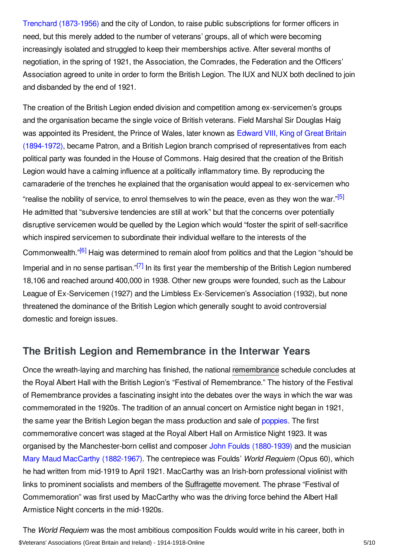Trenchard (1873-1956) and the city of London, to raise public subscriptions for former officers in need, but this merely added to the number of veterans' groups, all of which were becoming increasingly isolated and struggled to keep their memberships active. After several months of negotiation, in the spring of 1921, the Association, the Comrades, the Federation and the Officers' Association agreed to unite in order to form the British Legion. The IUX and NUX both declined to join and disbanded by the end of 1921.

<span id="page-4-1"></span>The creation of the British Legion ended division and competition among ex-servicemen's groups and the organisation became the single voice of British veterans. Field Marshal Sir Douglas Haig was appointed its President, the Prince of Wales, later known as Edward VIII, King of Great Britain (1894-1972), became Patron, and a British Legion branch comprised of [representatives](/index/names/118528963) from each political party was founded in the House of Commons. Haig desired that the creation of the British Legion would have a calming influence at a politically inflammatory time. By reproducing the camaraderie of the trenches he explained that the organisation would appeal to ex-servicemen who "realise the nobility of service, to enrol themselves to win the peace, even as they won the war."<sup>[\[5\]](#page-8-6)</sup> He admitted that "subversive tendencies are still at work" but that the concerns over potentially disruptive servicemen would be quelled by the Legion which would "foster the spirit of self-sacrifice which inspired servicemen to subordinate their individual welfare to the interests of the Commonwealth."<sup>[\[6\]](#page-8-7)</sup> Haig was determined to remain aloof from politics and that the Legion "should be Imperial and in no sense partisan."<sup>[\[7\]](#page-8-8)</sup> In its first year the membership of the British Legion numbered 18,106 and reached around 400,000 in 1938. Other new groups were founded, such as the Labour League of Ex-Servicemen (1927) and the Limbless Ex-Servicemen's Association (1932), but none threatened the dominance of the British Legion which generally sought to avoid controversial domestic and foreign issues.

## <span id="page-4-3"></span><span id="page-4-2"></span><span id="page-4-0"></span>**The British Legion and Remembrance in the Interwar Years**

Once the wreath-laying and marching has finished, the national [remembrance](/article/commemoration_cult_of_the_fallen_great_britain_and_ireland) schedule concludes at the Royal Albert Hall with the British Legion's "Festival of Remembrance." The history of the Festival of Remembrance provides a fascinating insight into the debates over the ways in which the war was commemorated in the 1920s. The tradition of an annual concert on Armistice night began in 1921, the same year the British Legion began the mass production and sale of [poppies](/article/poppy). The first commemorative concert was staged at the Royal Albert Hall on Armistice Night 1923. It was organised by the Manchester-born cellist and composer John Foulds [\(1880-1939\)](/index/names/124350127) and the musician Mary Maud MacCarthy [\(1882-1967\).](/index/names/1072583151) The centrepiece was Foulds' *World Requiem* (Opus 60), which he had written from mid-1919 to April 1921. MacCarthy was an Irish-born professional violinist with links to prominent socialists and members of the [Suffragette](/article/suffragettes) movement. The phrase "Festival of Commemoration" was first used by MacCarthy who was the driving force behind the Albert Hall Armistice Night concerts in the mid-1920s.

The *World Requiem* was the most ambitious composition Foulds would write in his career, both in \$Veterans' Associations (Great Britain and Ireland) - 1914-1918-Online 5/10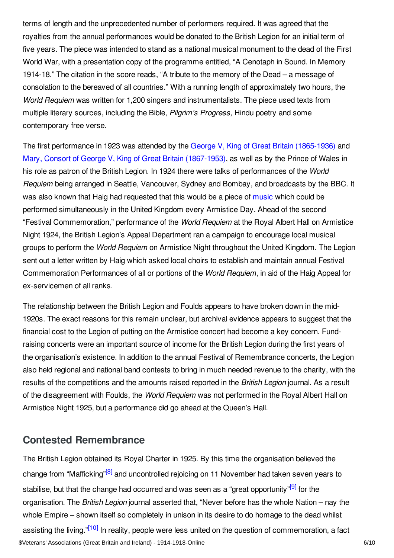terms of length and the unprecedented number of performers required. It was agreed that the royalties from the annual performances would be donated to the British Legion for an initial term of five years. The piece was intended to stand as a national musical monument to the dead of the First World War, with a presentation copy of the programme entitled, "A Cenotaph in Sound. In Memory 1914-18." The citation in the score reads, "A tribute to the memory of the Dead – a message of consolation to the bereaved of all countries." With a running length of approximately two hours, the *World Requiem* was written for 1,200 singers and instrumentalists. The piece used texts from multiple literary sources, including the Bible, *Pilgrim's Progress,* Hindu poetry and some contemporary free verse.

The first performance in 1923 was attended by the George V, King of Great Britain [\(1865-1936\)](/index/names/118690469) and Mary, Consort of George V, King of Great Britain [\(1867-1953\)](/index/names/118869701), as well as by the Prince of Wales in his role as patron of the British Legion. In 1924 there were talks of performances of the *World Requiem* being arranged in Seattle, Vancouver, Sydney and Bombay, and broadcasts by the BBC. It was also known that Haig had requested that this would be a piece of [music](/article/music) which could be performed simultaneously in the United Kingdom every Armistice Day. Ahead of the second "Festival Commemoration," performance of the *World Requiem* at the Royal Albert Hall on Armistice Night 1924, the British Legion's Appeal Department ran a campaign to encourage local musical groups to perform the *World Requiem* on Armistice Night throughout the United Kingdom. The Legion sent out a letter written by Haig which asked local choirs to establish and maintain annual Festival Commemoration Performances of all or portions of the *World Requiem*, in aid of the Haig Appeal for ex-servicemen of all ranks.

The relationship between the British Legion and Foulds appears to have broken down in the mid-1920s. The exact reasons for this remain unclear, but archival evidence appears to suggest that the financial cost to the Legion of putting on the Armistice concert had become a key concern. Fundraising concerts were an important source of income for the British Legion during the first years of the organisation's existence. In addition to the annual Festival of Remembrance concerts, the Legion also held regional and national band contests to bring in much needed revenue to the charity, with the results of the competitions and the amounts raised reported in the *British Legion* journal. As a result of the disagreement with Foulds, the *World Requiem* was not performed in the Royal Albert Hall on Armistice Night 1925, but a performance did go ahead at the Queen's Hall.

## <span id="page-5-2"></span><span id="page-5-0"></span>**Contested Remembrance**

<span id="page-5-3"></span><span id="page-5-1"></span>The British Legion obtained its Royal Charter in 1925. By this time the organisation believed the change from "Mafficking"<sup>[\[8\]](#page-8-9)</sup> and uncontrolled rejoicing on 11 November had taken seven years to stabilise, but that the change had occurred and was seen as a "great opportunity"<sup>[\[9\]](#page-8-10)</sup> for the organisation. The *British Legion* journal asserted that, "Never before has the whole Nation – nay the whole Empire – shown itself so completely in unison in its desire to do homage to the dead whilst assisting the living."<sup>[\[10\]](#page-8-11)</sup> In reality, people were less united on the question of commemoration, a fact \$Veterans' Associations (Great Britain and Ireland) - 1914-1918-Online 6/10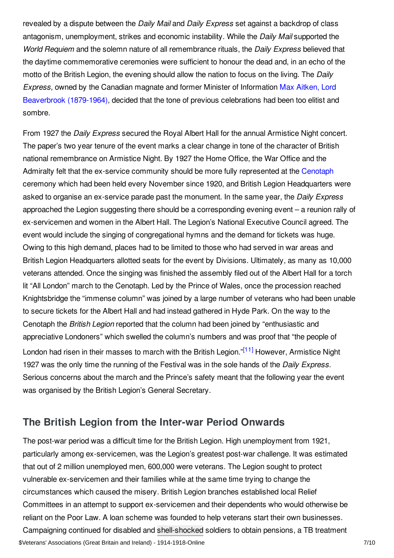revealed by a dispute between the *Daily Mail* and *Daily Express* set against a backdrop of class antagonism, unemployment, strikes and economic instability. While the *Daily Mail* supported the *World Requiem* and the solemn nature of all remembrance rituals, the *Daily Express* believed that the daytime commemorative ceremonies were sufficient to honour the dead and, in an echo of the motto of the British Legion, the evening should allow the nation to focus on the living. The *Daily Express,* owned by the Canadian magnate and former Minister of Information Max Aitken, Lord [Beaverbrook](/index/names/118657798) (1879-1964), decided that the tone of previous celebrations had been too elitist and sombre.

From 1927 the *Daily Express* secured the Royal Albert Hall for the annual Armistice Night concert. The paper's two year tenure of the event marks a clear change in tone of the character of British national remembrance on Armistice Night. By 1927 the Home Office, the War Office and the Admiralty felt that the ex-service community should be more fully represented at the [Cenotaph](/article/cenotaph) ceremony which had been held every November since 1920, and British Legion Headquarters were asked to organise an ex-service parade past the monument. In the same year, the *Daily Express* approached the Legion suggesting there should be a corresponding evening event – a reunion rally of ex-servicemen and women in the Albert Hall. The Legion's National Executive Council agreed. The event would include the singing of congregational hymns and the demand for tickets was huge. Owing to this high demand, places had to be limited to those who had served in war areas and British Legion Headquarters allotted seats for the event by Divisions. Ultimately, as many as 10,000 veterans attended. Once the singing was finished the assembly filed out of the Albert Hall for a torch lit "All London" march to the Cenotaph. Led by the Prince of Wales, once the procession reached Knightsbridge the "immense column" was joined by a large number of veterans who had been unable to secure tickets for the Albert Hall and had instead gathered in Hyde Park. On the way to the Cenotaph the *British Legion* reported that the column had been joined by "enthusiastic and appreciative Londoners" which swelled the column's numbers and was proof that "the people of London had risen in their masses to march with the British Legion."<sup>[\[11\]](#page-8-12)</sup> However, Armistice Night 1927 was the only time the running of the Festival was in the sole hands of the *Daily Express.* Serious concerns about the march and the Prince's safety meant that the following year the event was organised by the British Legion's General Secretary.

## <span id="page-6-1"></span><span id="page-6-0"></span>**The British Legion from the Inter-war Period Onwards**

The post-war period was a difficult time for the British Legion. High unemployment from 1921, particularly among ex-servicemen, was the Legion's greatest post-war challenge. It was estimated that out of 2 million unemployed men, 600,000 were veterans. The Legion sought to protect vulnerable ex-servicemen and their families while at the same time trying to change the circumstances which caused the misery. British Legion branches established local Relief Committees in an attempt to support ex-servicemen and their dependents who would otherwise be reliant on the Poor Law. A loan scheme was founded to help veterans start their own businesses. Campaigning continued for disabled and [shell-shocked](/article/shell_shock_trauma) soldiers to obtain pensions, a TB treatment \$Veterans' Associations (Great Britain and Ireland) - 1914-1918-Online 7/10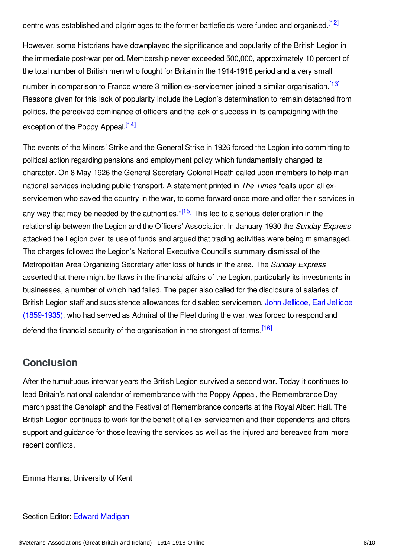<span id="page-7-1"></span>centre was established and pilgrimages to the former battlefields were funded and organised.<sup>[\[12\]](#page-8-13)</sup>

<span id="page-7-2"></span>However, some historians have downplayed the significance and popularity of the British Legion in the immediate post-war period. Membership never exceeded 500,000, approximately 10 percent of the total number of British men who fought for Britain in the 1914-1918 period and a very small number in comparison to France where 3 million ex-servicemen joined a similar organisation.<sup>[\[13\]](#page-8-14)</sup> Reasons given for this lack of popularity include the Legion's determination to remain detached from politics, the perceived dominance of officers and the lack of success in its campaigning with the exception of the Poppy Appeal.<sup>[\[14\]](#page-8-15)</sup>

<span id="page-7-4"></span><span id="page-7-3"></span>The events of the Miners' Strike and the General Strike in 1926 forced the Legion into committing to political action regarding pensions and employment policy which fundamentally changed its character. On 8 May 1926 the General Secretary Colonel Heath called upon members to help man national services including public transport. A statement printed in *The Times* "calls upon all exservicemen who saved the country in the war, to come forward once more and offer their services in any way that may be needed by the authorities."<sup>[\[15\]](#page-8-16)</sup> This led to a serious deterioration in the relationship between the Legion and the Officers' Association. In January 1930 the *Sunday Express* attacked the Legion over its use of funds and argued that trading activities were being mismanaged. The charges followed the Legion's National Executive Council's summary dismissal of the Metropolitan Area Organizing Secretary after loss of funds in the area. The *Sunday Express* asserted that there might be flaws in the financial affairs of the Legion, particularly its investments in businesses, a number of which had failed. The paper also called for the disclosure of salaries of British Legion staff and subsistence allowances for disabled servicemen. John Jellicoe, Earl Jellicoe [\(1859-1935\),](/index/names/11877610X) who had served as Admiral of the Fleet during the war, was forced to respond and defend the financial security of the organisation in the strongest of terms.<sup>[\[16\]](#page-8-17)</sup>

## <span id="page-7-5"></span><span id="page-7-0"></span>**Conclusion**

After the tumultuous interwar years the British Legion survived a second war. Today it continues to lead Britain's national calendar of remembrance with the Poppy Appeal, the Remembrance Day march past the Cenotaph and the Festival of Remembrance concerts at the Royal Albert Hall. The British Legion continues to work for the benefit of all ex-servicemen and their dependents and offers support and guidance for those leaving the services as well as the injured and bereaved from more recent conflicts.

Emma Hanna, University of Kent

#### Section Editor: Edward [Madigan](https://encyclopedia.1914-1918-online.net/contributors/Edward_Madigan)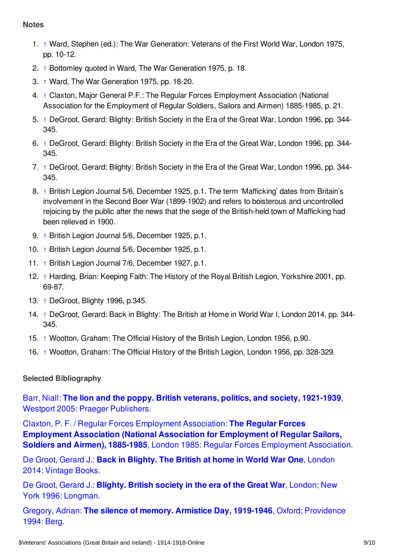#### <span id="page-8-0"></span>**Notes**

- <span id="page-8-2"></span>1. [↑](#page-1-2) Ward, Stephen (ed.): The War Generation: Veterans of the First World War, London 1975, pp. 10-12.
- <span id="page-8-3"></span>2. [↑](#page-2-1) Bottomley quoted in Ward, The War Generation 1975, p. 18.
- <span id="page-8-4"></span>3. [↑](#page-2-2) Ward, The War Generation 1975, pp. 18-20.
- <span id="page-8-5"></span>4. [↑](#page-3-1) Claxton, Major General P.F.: The Regular Forces Employment Association (National Association for the Employment of Regular Soldiers, Sailors and Airmen) 1885-1985, p. 21.
- <span id="page-8-6"></span>5. [↑](#page-4-1) DeGroot, Gerard: Blighty: British Society in the Era of the Great War, London 1996, pp. 344- 345.
- <span id="page-8-7"></span>6. [↑](#page-4-2) DeGroot, Gerard: Blighty: British Society in the Era of the Great War, London 1996, pp. 344- 345.
- <span id="page-8-8"></span>7. [↑](#page-4-3) DeGroot, Gerard: Blighty: British Society in the Era of the Great War, London 1996, pp. 344- 345.
- <span id="page-8-9"></span>8. [↑](#page-5-1) British Legion Journal 5/6, December 1925, p.1. The term 'Mafficking' dates from Britain's involvement in the Second Boer War (1899-1902) and refers to boisterous and uncontrolled rejoicing by the public after the news that the siege of the British-held town of Mafficking had been relieved in 1900.
- <span id="page-8-10"></span>9. [↑](#page-5-2) British Legion Journal 5/6, December 1925, p.1.
- <span id="page-8-11"></span>10. [↑](#page-5-3) British Legion Journal 5/6, December 1925, p.1.
- <span id="page-8-12"></span>11. [↑](#page-6-1) British Legion Journal 7/6, December 1927, p.1.
- <span id="page-8-13"></span>12. [↑](#page-7-1) Harding, Brian: Keeping Faith: The History of the Royal British Legion, Yorkshire 2001, pp. 69-87.
- <span id="page-8-14"></span>13. [↑](#page-7-2) DeGroot, Blighty 1996, p.345.
- <span id="page-8-15"></span>14. [↑](#page-7-3) DeGroot, Gerard: Back in Blighty: The British at Home in World War I, London 2014, pp. 344- 345.
- <span id="page-8-16"></span>15. [↑](#page-7-4) Wootton, Graham: The Official History of the British Legion, London 1956, p.90.
- <span id="page-8-17"></span>16. [↑](#page-7-5) Wootton, Graham: The Official History of the British Legion, London 1956, pp. 328-329.

#### <span id="page-8-1"></span>**Selected Bibliography**

Barr, Niall: **The lion and the poppy. British veterans, politics, and society, 1921-1939**, Westport 2005: Praeger [Publishers.](https://encyclopedia.1914-1918-online.net/bibliography/PJT4RH28)

Claxton, P. F. / Regular Forces Employment Association: **The Regular Forces Employment Association (National Association for [Employment](https://encyclopedia.1914-1918-online.net/bibliography/NA3PQ4VK) of Regular Sailors, Soldiers and Airmen), 1885-1985**, London 1985: Regular Forces Employment Association.

De Groot, Gerard J.: **Back in [Blighty.](https://encyclopedia.1914-1918-online.net/bibliography/9GTBMX3K) The British at home in World War One**, London 2014: Vintage Books.

De Groot, Gerard J.: **Blighty. British society in the era of the Great War**, London; New York 1996: [Longman.](https://encyclopedia.1914-1918-online.net/bibliography/9SUC4JTG)

Gregory, Adrian: **The silence of memory. Armistice Day, 1919-1946**, Oxford; [Providence](https://encyclopedia.1914-1918-online.net/bibliography/7V4CZXNC) 1994: Berg.